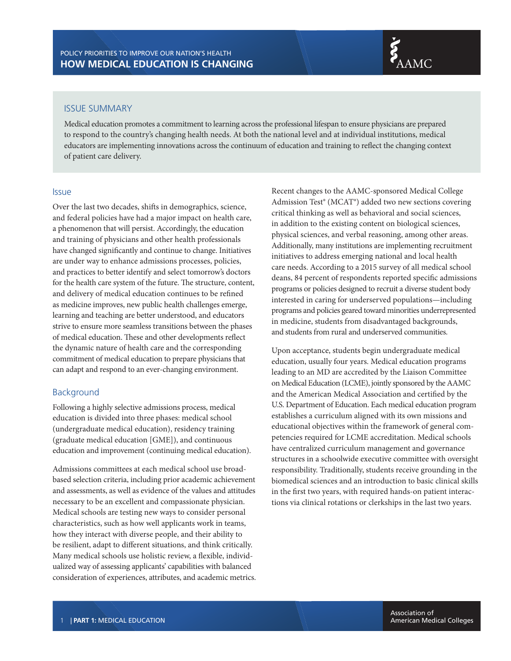

#### ISSUE SUMMARY

Medical education promotes a commitment to learning across the professional lifespan to ensure physicians are prepared to respond to the country's changing health needs. At both the national level and at individual institutions, medical educators are implementing innovations across the continuum of education and training to reflect the changing context of patient care delivery.

### Issue

Over the last two decades, shifts in demographics, science, and federal policies have had a major impact on health care, a phenomenon that will persist. Accordingly, the education and training of physicians and other health professionals have changed significantly and continue to change. Initiatives are under way to enhance admissions processes, policies, and practices to better identify and select tomorrow's doctors for the health care system of the future. The structure, content, and delivery of medical education continues to be refined as medicine improves, new public health challenges emerge, learning and teaching are better understood, and educators strive to ensure more seamless transitions between the phases of medical education. These and other developments reflect the dynamic nature of health care and the corresponding commitment of medical education to prepare physicians that can adapt and respond to an ever-changing environment.

## Background

Following a highly selective admissions process, medical education is divided into three phases: medical school (undergraduate medical education), residency training (graduate medical education [GME]), and continuous education and improvement (continuing medical education).

Admissions committees at each medical school use broadbased selection criteria, including prior academic achievement and assessments, as well as evidence of the values and attitudes necessary to be an excellent and compassionate physician. Medical schools are testing new ways to consider personal characteristics, such as how well applicants work in teams, how they interact with diverse people, and their ability to be resilient, adapt to different situations, and think critically. Many medical schools use holistic review, a flexible, individualized way of assessing applicants' capabilities with balanced consideration of experiences, attributes, and academic metrics.

Recent changes to the AAMC-sponsored Medical College Admission Test® (MCAT®) added two new sections covering critical thinking as well as behavioral and social sciences, in addition to the existing content on biological sciences, physical sciences, and verbal reasoning, among other areas. Additionally, many institutions are implementing recruitment initiatives to address emerging national and local health care needs. According to a 2015 survey of all medical school deans, 84 percent of respondents reported specific admissions programs or policies designed to recruit a diverse student body interested in caring for underserved populations—including programs and policies geared toward minorities underrepresented in medicine, students from disadvantaged backgrounds, and students from rural and underserved communities.

Upon acceptance, students begin undergraduate medical education, usually four years. Medical education programs leading to an MD are accredited by the Liaison Committee on Medical Education (LCME), jointly sponsored by the AAMC and the American Medical Association and certified by the U.S. Department of Education. Each medical education program establishes a curriculum aligned with its own missions and educational objectives within the framework of general competencies required for LCME accreditation. Medical schools have centralized curriculum management and governance structures in a schoolwide executive committee with oversight responsibility. Traditionally, students receive grounding in the biomedical sciences and an introduction to basic clinical skills in the first two years, with required hands-on patient interactions via clinical rotations or clerkships in the last two years.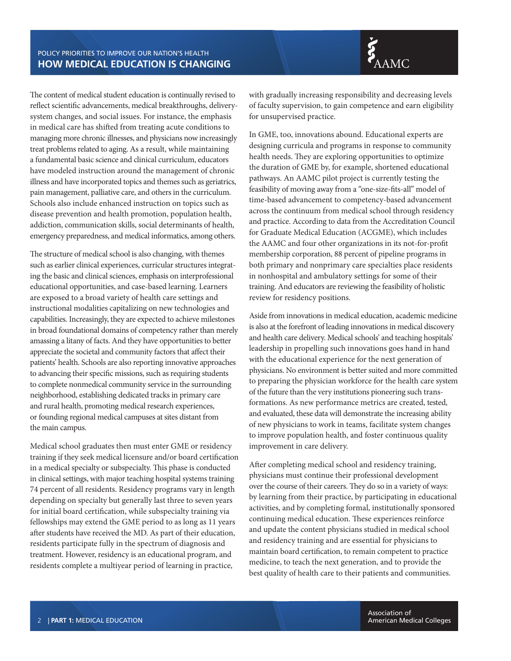## POLICY PRIORITIES TO IMPROVE OUR NATION'S HEALTH **HOW MEDICAL EDUCATION IS CHANGING**

The content of medical student education is continually revised to reflect scientific advancements, medical breakthroughs, deliverysystem changes, and social issues. For instance, the emphasis in medical care has shifted from treating acute conditions to managing more chronic illnesses, and physicians now increasingly treat problems related to aging. As a result, while maintaining a fundamental basic science and clinical curriculum, educators have modeled instruction around the management of chronic illness and have incorporated topics and themes such as geriatrics, pain management, palliative care, and others in the curriculum. Schools also include enhanced instruction on topics such as disease prevention and health promotion, population health, addiction, communication skills, social determinants of health, emergency preparedness, and medical informatics, among others.

The structure of medical school is also changing, with themes such as earlier clinical experiences, curricular structures integrating the basic and clinical sciences, emphasis on interprofessional educational opportunities, and case-based learning. Learners are exposed to a broad variety of health care settings and instructional modalities capitalizing on new technologies and capabilities. Increasingly, they are expected to achieve milestones in broad foundational domains of competency rather than merely amassing a litany of facts. And they have opportunities to better appreciate the societal and community factors that affect their patients' health. Schools are also reporting innovative approaches to advancing their specific missions, such as requiring students to complete nonmedical community service in the surrounding neighborhood, establishing dedicated tracks in primary care and rural health, promoting medical research experiences, or founding regional medical campuses at sites distant from the main campus.

Medical school graduates then must enter GME or residency training if they seek medical licensure and/or board certification in a medical specialty or subspecialty. This phase is conducted in clinical settings, with major teaching hospital systems training 74 percent of all residents. Residency programs vary in length depending on specialty but generally last three to seven years for initial board certification, while subspecialty training via fellowships may extend the GME period to as long as 11 years after students have received the MD. As part of their education, residents participate fully in the spectrum of diagnosis and treatment. However, residency is an educational program, and residents complete a multiyear period of learning in practice,

with gradually increasing responsibility and decreasing levels of faculty supervision, to gain competence and earn eligibility for unsupervised practice.

In GME, too, innovations abound. Educational experts are designing curricula and programs in response to community health needs. They are exploring opportunities to optimize the duration of GME by, for example, shortened educational pathways. An AAMC pilot project is currently testing the feasibility of moving away from a "one-size-fits-all" model of time-based advancement to competency-based advancement across the continuum from medical school through residency and practice. According to data from the Accreditation Council for Graduate Medical Education (ACGME), which includes the AAMC and four other organizations in its not-for-profit membership corporation, 88 percent of pipeline programs in both primary and nonprimary care specialties place residents in nonhospital and ambulatory settings for some of their training. And educators are reviewing the feasibility of holistic review for residency positions.

Aside from innovations in medical education, academic medicine is also at the forefront of leading innovations in medical discovery and health care delivery. Medical schools' and teaching hospitals' leadership in propelling such innovations goes hand in hand with the educational experience for the next generation of physicians. No environment is better suited and more committed to preparing the physician workforce for the health care system of the future than the very institutions pioneering such transformations. As new performance metrics are created, tested, and evaluated, these data will demonstrate the increasing ability of new physicians to work in teams, facilitate system changes to improve population health, and foster continuous quality improvement in care delivery.

After completing medical school and residency training, physicians must continue their professional development over the course of their careers. They do so in a variety of ways: by learning from their practice, by participating in educational activities, and by completing formal, institutionally sponsored continuing medical education. These experiences reinforce and update the content physicians studied in medical school and residency training and are essential for physicians to maintain board certification, to remain competent to practice medicine, to teach the next generation, and to provide the best quality of health care to their patients and communities.